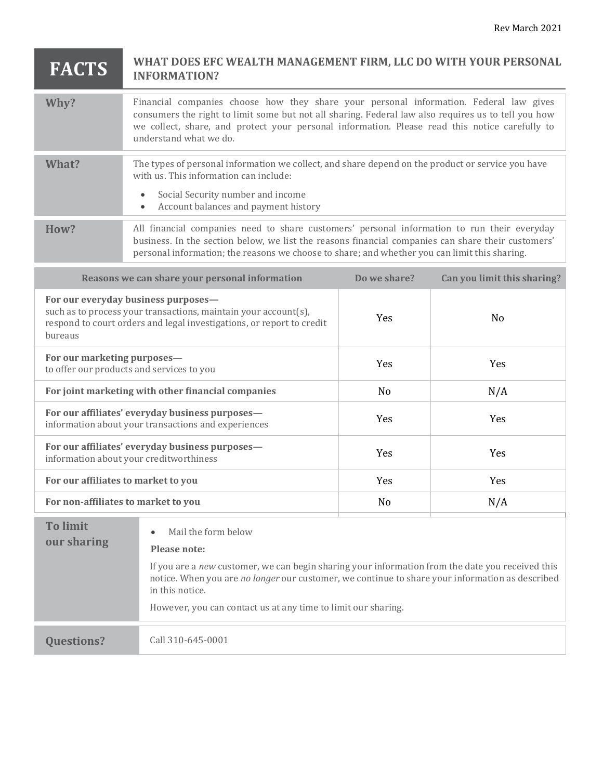## **FACTS WHAT DOES EFC WEALTH MANAGEMENT FIRM, LLC DO WITH YOUR PERSONAL INFORMATION?**

| Why?  | Financial companies choose how they share your personal information. Federal law gives<br>consumers the right to limit some but not all sharing. Federal law also requires us to tell you how<br>we collect, share, and protect your personal information. Please read this notice carefully to<br>understand what we do. |  |
|-------|---------------------------------------------------------------------------------------------------------------------------------------------------------------------------------------------------------------------------------------------------------------------------------------------------------------------------|--|
|       |                                                                                                                                                                                                                                                                                                                           |  |
| What? | The types of personal information we collect, and share depend on the product or service you have<br>with us. This information can include:                                                                                                                                                                               |  |
|       |                                                                                                                                                                                                                                                                                                                           |  |
|       | Social Security number and income<br>$\bullet$                                                                                                                                                                                                                                                                            |  |
|       | Account balances and payment history                                                                                                                                                                                                                                                                                      |  |
|       |                                                                                                                                                                                                                                                                                                                           |  |
| How?  | All financial companies need to share customers' personal information to run their everyday<br>business. In the section below, we list the reasons financial companies can share their customers'<br>personal information; the reasons we choose to share; and whether you can limit this sharing.                        |  |

| Reasons we can share your personal information                                                                                                                                             | Do we share? | Can you limit this sharing? |
|--------------------------------------------------------------------------------------------------------------------------------------------------------------------------------------------|--------------|-----------------------------|
| For our everyday business purposes—<br>such as to process your transactions, maintain your account(s),<br>respond to court orders and legal investigations, or report to credit<br>bureaus | <b>Yes</b>   | N <sub>0</sub>              |
| For our marketing purposes-<br>to offer our products and services to you                                                                                                                   | <b>Yes</b>   | <b>Yes</b>                  |
| For joint marketing with other financial companies                                                                                                                                         | No           | N/A                         |
| For our affiliates' everyday business purposes-<br>information about your transactions and experiences                                                                                     | <b>Yes</b>   | <b>Yes</b>                  |
| For our affiliates' everyday business purposes-<br>information about your creditworthiness                                                                                                 | <b>Yes</b>   | <b>Yes</b>                  |
| For our affiliates to market to you                                                                                                                                                        | <b>Yes</b>   | <b>Yes</b>                  |
| For non-affiliates to market to you                                                                                                                                                        | No           | N/A                         |

| <b>To limit</b><br>our sharing | Mail the form below<br>$\bullet$<br>Please note:<br>If you are a new customer, we can begin sharing your information from the date you received this<br>notice. When you are no longer our customer, we continue to share your information as described<br>in this notice.<br>However, you can contact us at any time to limit our sharing. |
|--------------------------------|---------------------------------------------------------------------------------------------------------------------------------------------------------------------------------------------------------------------------------------------------------------------------------------------------------------------------------------------|
| <b>Ouestions?</b>              | Call 310-645-0001                                                                                                                                                                                                                                                                                                                           |